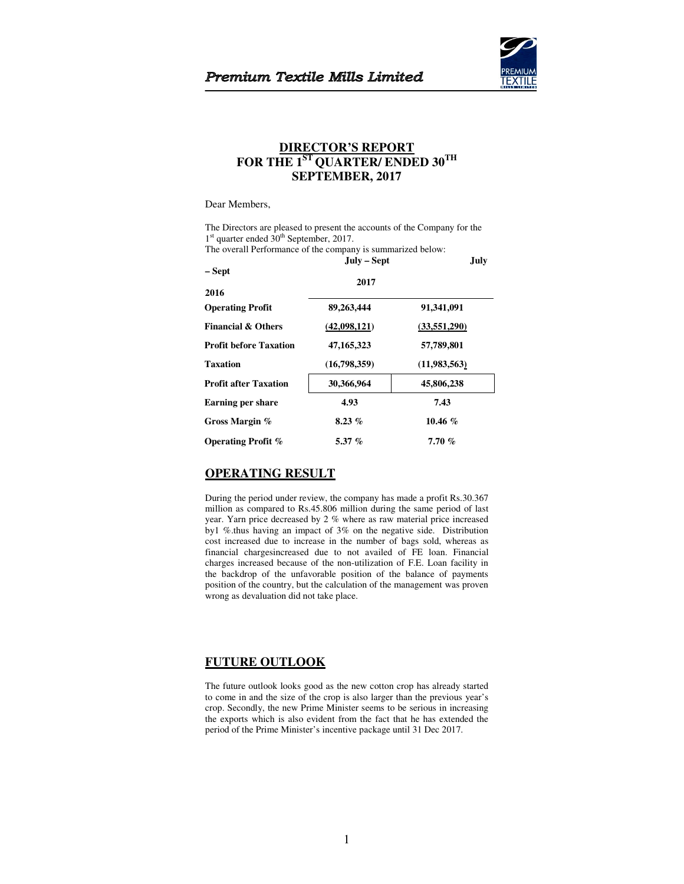

# **DIRECTOR'S REPORT FOR THE 1ST QUARTER/ ENDED 30TH SEPTEMBER, 2017**

## Dear Members,

The Directors are pleased to present the accounts of the Company for the 1<sup>st</sup> quarter ended 30<sup>th</sup> September, 2017.

The overall Performance of the company is summarized below:

|                               | $Julv - Sept$ | July         |
|-------------------------------|---------------|--------------|
| – Sept                        | 2017          |              |
| 2016                          |               |              |
| <b>Operating Profit</b>       | 89,263,444    | 91,341,091   |
| <b>Financial &amp; Others</b> | (42,098,121)  | (33,551,290) |
| <b>Profit before Taxation</b> | 47, 165, 323  | 57,789,801   |
| <b>Taxation</b>               | (16,798,359)  | (11,983,563) |
| <b>Profit after Taxation</b>  | 30,366,964    | 45,806,238   |
| Earning per share             | 4.93          | 7.43         |
| Gross Margin %                | $8.23\%$      | 10.46 $%$    |
| <b>Operating Profit %</b>     | 5.37 $%$      | 7.70%        |

# **OPERATING RESULT**

During the period under review, the company has made a profit Rs.30.367 million as compared to Rs.45.806 million during the same period of last year. Yarn price decreased by 2 % where as raw material price increased by1 %.thus having an impact of 3% on the negative side. Distribution cost increased due to increase in the number of bags sold, whereas as financial chargesincreased due to not availed of FE loan. Financial charges increased because of the non-utilization of F.E. Loan facility in the backdrop of the unfavorable position of the balance of payments position of the country, but the calculation of the management was proven wrong as devaluation did not take place.

# **FUTURE OUTLOOK**

The future outlook looks good as the new cotton crop has already started to come in and the size of the crop is also larger than the previous year's crop. Secondly, the new Prime Minister seems to be serious in increasing the exports which is also evident from the fact that he has extended the period of the Prime Minister's incentive package until 31 Dec 2017.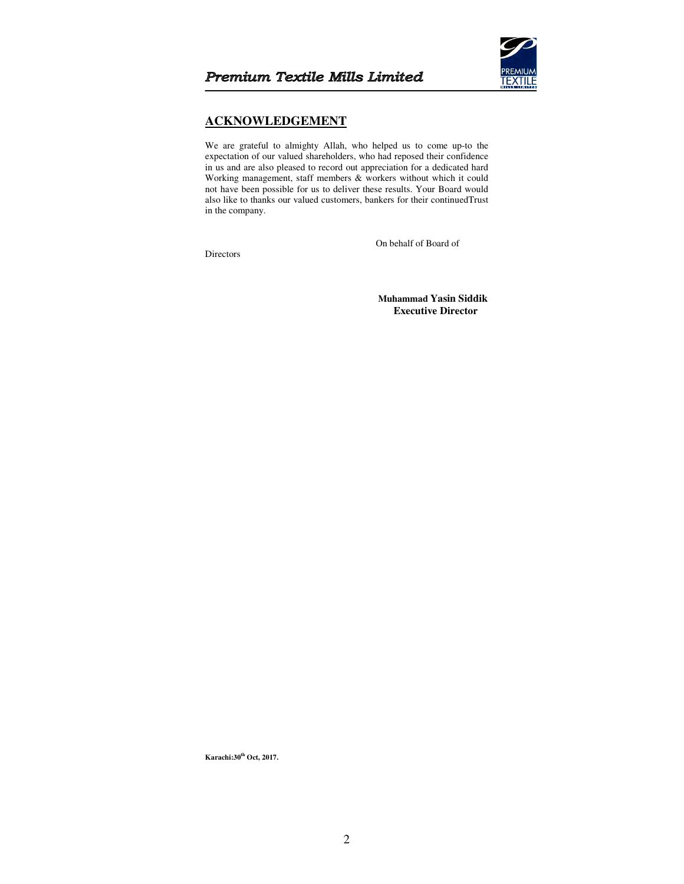

# **ACKNOWLEDGEMENT**

We are grateful to almighty Allah, who helped us to come up-to the expectation of our valued shareholders, who had reposed their confidence in us and are also pleased to record out appreciation for a dedicated hard Working management, staff members & workers without which it could not have been possible for us to deliver these results. Your Board would also like to thanks our valued customers, bankers for their continuedTrust in the company.

Directors

On behalf of Board of

 **Muhammad Yasin Siddik Executive Director** 

**Karachi:30th Oct, 2017.**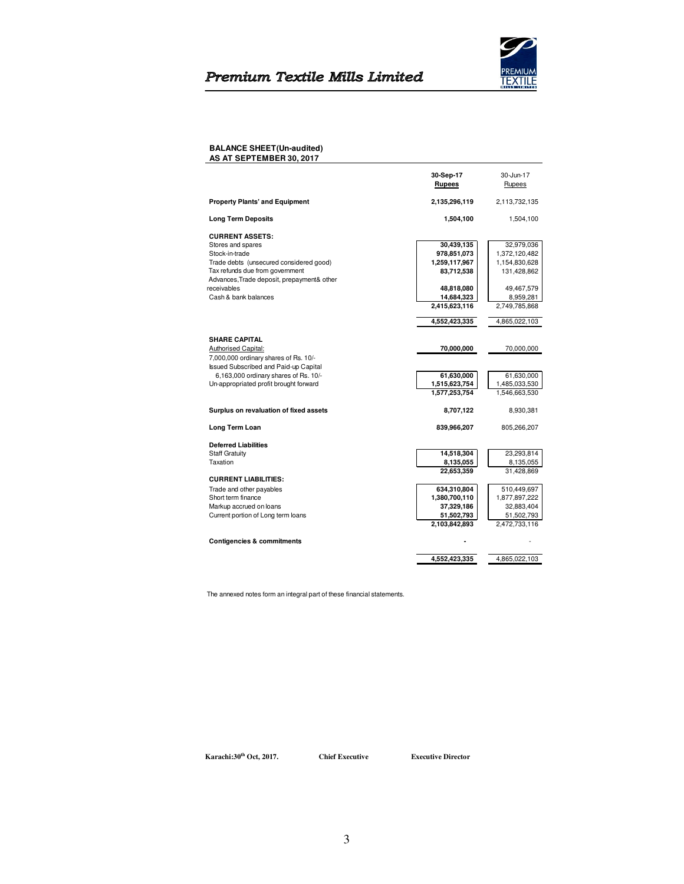# Premium Textile Mills Limited



## **BALANCE SHEET(Un-audited) AS AT SEPTEMBER 30, 2017**

|                                                                                       | 30-Sep-17     | 30-Jun-17     |
|---------------------------------------------------------------------------------------|---------------|---------------|
|                                                                                       | <b>Rupees</b> | Rupees        |
|                                                                                       |               |               |
| <b>Property Plants' and Equipment</b>                                                 | 2,135,296,119 | 2,113,732,135 |
| <b>Long Term Deposits</b>                                                             | 1,504,100     | 1,504,100     |
| <b>CURRENT ASSETS:</b>                                                                |               |               |
| Stores and spares                                                                     | 30,439,135    | 32,979,036    |
| Stock-in-trade                                                                        | 978,851,073   | 1,372,120,482 |
| Trade debts (unsecured considered good)                                               | 1,259,117,967 | 1,154,830,628 |
| Tax refunds due from government                                                       | 83,712,538    | 131,428,862   |
| Advances, Trade deposit, prepayment& other                                            |               |               |
| receivables                                                                           | 48,818,080    | 49,467,579    |
| Cash & bank balances                                                                  | 14,684,323    | 8,959,281     |
|                                                                                       | 2,415,623,116 | 2,749,785,868 |
|                                                                                       | 4,552,423,335 | 4,865,022,103 |
| <b>SHARE CAPITAL</b>                                                                  |               |               |
| Authorised Capital:                                                                   | 70,000,000    | 70,000,000    |
|                                                                                       |               |               |
| 7,000,000 ordinary shares of Rs. 10/-<br><b>Issued Subscribed and Paid-up Capital</b> |               |               |
|                                                                                       |               |               |
| 6,163,000 ordinary shares of Rs. 10/-                                                 | 61,630,000    | 61,630,000    |
| Un-appropriated profit brought forward                                                | 1,515,623,754 | 1,485,033,530 |
|                                                                                       | 1,577,253,754 | 1,546,663,530 |
| Surplus on revaluation of fixed assets                                                | 8,707,122     | 8,930,381     |
| Long Term Loan                                                                        | 839,966,207   | 805,266,207   |
| <b>Deferred Liabilities</b>                                                           |               |               |
| <b>Staff Gratuity</b>                                                                 | 14,518,304    | 23,293,814    |
| Taxation                                                                              | 8,135,055     | 8,135,055     |
|                                                                                       | 22,653,359    | 31,428,869    |
| <b>CURRENT LIABILITIES:</b>                                                           |               |               |
| Trade and other payables                                                              | 634,310,804   | 510,449,697   |
| Short term finance                                                                    | 1,380,700,110 | 1,877,897,222 |
| Markup accrued on loans                                                               | 37,329,186    | 32,883,404    |
| Current portion of Long term loans                                                    | 51,502,793    | 51,502,793    |
|                                                                                       | 2,103,842,893 | 2,472,733,116 |
| <b>Contigencies &amp; commitments</b>                                                 |               |               |
|                                                                                       |               |               |
|                                                                                       | 4,552,423,335 | 4,865,022,103 |

The annexed notes form an integral part of these financial statements.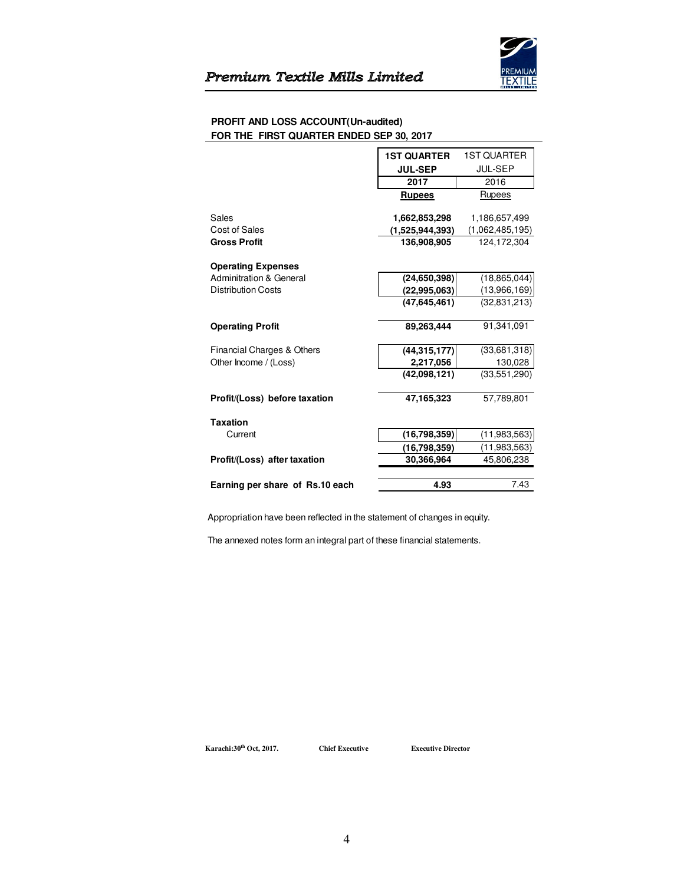

## **PROFIT AND LOSS ACCOUNT(Un-audited) FOR THE FIRST QUARTER ENDED SEP 30, 2017**

|                                    | <b>1ST QUARTER</b>        | <b>1ST QUARTER</b>      |
|------------------------------------|---------------------------|-------------------------|
|                                    | <b>JUL-SEP</b>            | <b>JUL-SEP</b>          |
|                                    | 2017                      | 2016                    |
|                                    | <b>Rupees</b>             | Rupees                  |
| Sales                              | 1,662,853,298             | 1,186,657,499           |
| Cost of Sales                      | (1,525,944,393)           | (1,062,485,195)         |
| <b>Gross Profit</b>                | 136,908,905               | 124,172,304             |
| <b>Operating Expenses</b>          |                           |                         |
| <b>Adminitration &amp; General</b> | (24, 650, 398)            | (18, 865, 044)          |
| <b>Distribution Costs</b>          | (22, 995, 063)            | (13,966,169)            |
|                                    | (47, 645, 461)            | (32.831.213)            |
|                                    |                           |                         |
| <b>Operating Profit</b>            | 89,263,444                | 91.341.091              |
|                                    |                           |                         |
| Financial Charges & Others         | (44, 315, 177)            | (33,681,318)            |
| Other Income / (Loss)              | 2,217,056<br>(42,098,121) | 130,028<br>(33,551,290) |
|                                    |                           |                         |
| Profit/(Loss) before taxation      | 47,165,323                | 57.789.801              |
| <b>Taxation</b>                    |                           |                         |
| Current                            | (16,798,359)              | (11,983,563)            |
|                                    | (16,798,359)              | (11,983,563)            |
| Profit/(Loss) after taxation       | 30,366,964                | 45,806,238              |
|                                    |                           |                         |
| Earning per share of Rs.10 each    | 4.93                      | 7.43                    |

Appropriation have been reflected in the statement of changes in equity.

The annexed notes form an integral part of these financial statements.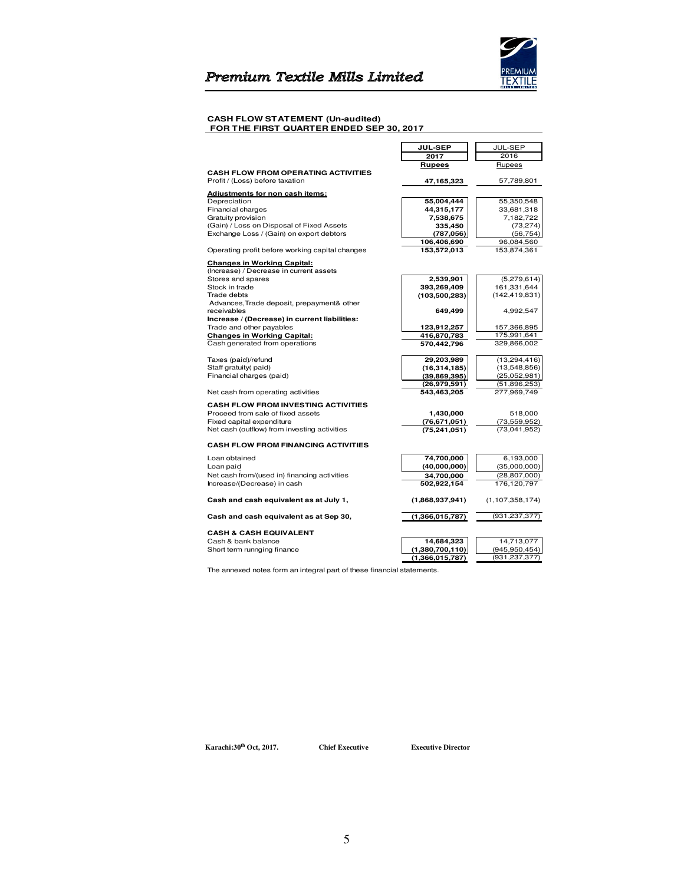

#### **CASH FLOW STATEMENT (Un-audited) FOR THE FIRST QUARTER ENDED SEP 30, 2017**

|                                                 | <b>JUL-SEP</b>  | JUL-SEP            |
|-------------------------------------------------|-----------------|--------------------|
|                                                 | 2017            | 2016               |
|                                                 | Rupees          | Rupees             |
| <b>CASH FLOW FROM OPERATING ACTIVITIES</b>      |                 |                    |
| Profit / (Loss) before taxation                 | 47,165,323      | 57,789,801         |
| Adjustments for non cash items:                 |                 |                    |
| Depreciation                                    | 55,004,444      | 55,350,548         |
| Financial charges                               | 44,315,177      | 33,681,318         |
| Gratuity provision                              | 7,538,675       | 7,182,722          |
| (Gain) / Loss on Disposal of Fixed Assets       | 335,450         | (73, 274)          |
| Exchange Loss / (Gain) on export debtors        | (787, 056)      | (56, 754)          |
|                                                 | 106,406,690     | 96,084,560         |
| Operating profit before working capital changes | 153,572,013     | 153,874,361        |
| <b>Changes in Working Capital:</b>              |                 |                    |
| (Increase) / Decrease in current assets         |                 |                    |
| Stores and spares                               | 2,539,901       | (5,279,614)        |
| Stock in trade                                  | 393,269,409     | 161,331,644        |
| Trade debts                                     | (103, 500, 283) | (142, 419, 831)    |
| Advances, Trade deposit, prepayment& other      |                 |                    |
| receivables                                     | 649,499         | 4,992,547          |
| Increase / (Decrease) in current liabilities:   |                 |                    |
| Trade and other payables                        | 123,912,257     | 157,366,895        |
| <b>Changes in Working Capital:</b>              | 416,870,783     | 175,991,641        |
| Cash generated from operations                  | 570,442,796     | 329,866,002        |
| Taxes (paid)/refund                             | 29,203,989      | (13, 294, 416)     |
| Staff gratuity(paid)                            | (16, 314, 185)  | (13,548,856)       |
| Financial charges (paid)                        | (39, 869, 395)  | (25,052,981)       |
|                                                 | (26, 979, 591)  | (51,896,253)       |
| Net cash from operating activities              | 543,463,205     | 277,969,749        |
| <b>CASH FLOW FROM INVESTING ACTIVITIES</b>      |                 |                    |
| Proceed from sale of fixed assets               | 1,430,000       | 518,000            |
| Fixed capital expenditure                       | (76, 671, 051)  | (73, 559, 952)     |
| Net cash (outflow) from investing activities    | (75, 241, 051)  | (73.041.952)       |
| <b>CASH FLOW FROM FINANCING ACTIVITIES</b>      |                 |                    |
| Loan obtained                                   | 74,700,000      | 6,193,000          |
| Loan paid                                       | (40,000,000)    | (35,000,000)       |
| Net cash from/(used in) financing activities    | 34,700,000      | (28, 807, 000)     |
| Increase/(Decrease) in cash                     | 502,922,154     | 176,120,797        |
| Cash and cash equivalent as at July 1,          | (1,868,937,941) | (1, 107, 358, 174) |
| Cash and cash equivalent as at Sep 30,          | (1,366,015,787) | (931, 237, 377)    |
|                                                 |                 |                    |
| <b>CASH &amp; CASH EQUIVALENT</b>               |                 |                    |
| Cash & bank balance                             | 14,684,323      | 14,713,077         |
| Short term runnging finance                     | (1,380,700,110) | (945, 950, 454)    |
|                                                 | (1,366,015,787) | (931, 237, 377)    |

The annexed notes form an integral part of these financial statements.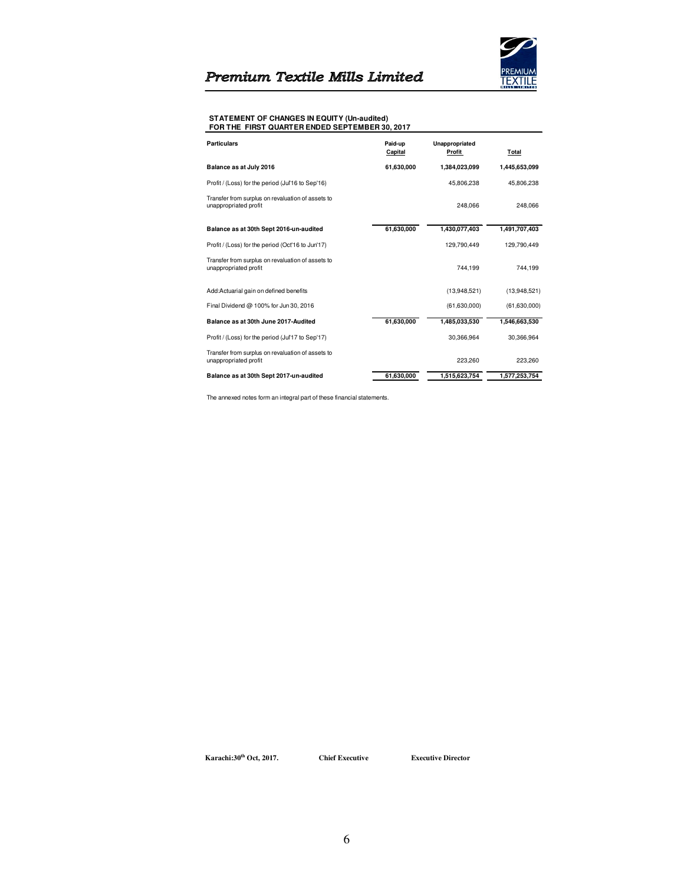

#### **STATEMENT OF CHANGES IN EQUITY (Un-audited) FOR THE FIRST QUARTER ENDED SEPTEMBER 30, 2017**

| <b>Particulars</b>                                                         | Paid-up<br>Capital | Unappropriated<br>Profit | Total         |
|----------------------------------------------------------------------------|--------------------|--------------------------|---------------|
| Balance as at July 2016                                                    | 61,630,000         | 1,384,023,099            | 1,445,653,099 |
| Profit / (Loss) for the period (Jul'16 to Sep'16)                          |                    | 45.806.238               | 45.806.238    |
| Transfer from surplus on revaluation of assets to<br>unappropriated profit |                    | 248.066                  | 248.066       |
| Balance as at 30th Sept 2016-un-audited                                    | 61,630,000         | 1,430,077,403            | 1,491,707,403 |
| Profit / (Loss) for the period (Oct'16 to Jun'17)                          |                    | 129.790.449              | 129.790.449   |
| Transfer from surplus on revaluation of assets to<br>unappropriated profit |                    | 744.199                  | 744.199       |
| Add:Actuarial gain on defined benefits                                     |                    | (13,948,521)             | (13,948,521)  |
| Final Dividend @ 100% for Jun 30, 2016                                     |                    | (61,630,000)             | (61,630,000)  |
| Balance as at 30th June 2017-Audited                                       | 61,630,000         | 1,485,033,530            | 1,546,663,530 |
| Profit / (Loss) for the period (Jul'17 to Sep'17)                          |                    | 30.366.964               | 30.366.964    |
| Transfer from surplus on revaluation of assets to<br>unappropriated profit |                    | 223.260                  | 223,260       |
| Balance as at 30th Sept 2017 un audited                                    | 61,630,000         | 1,515,623,754            | 1,577,253,754 |

The annexed notes form an integral part of these financial statements.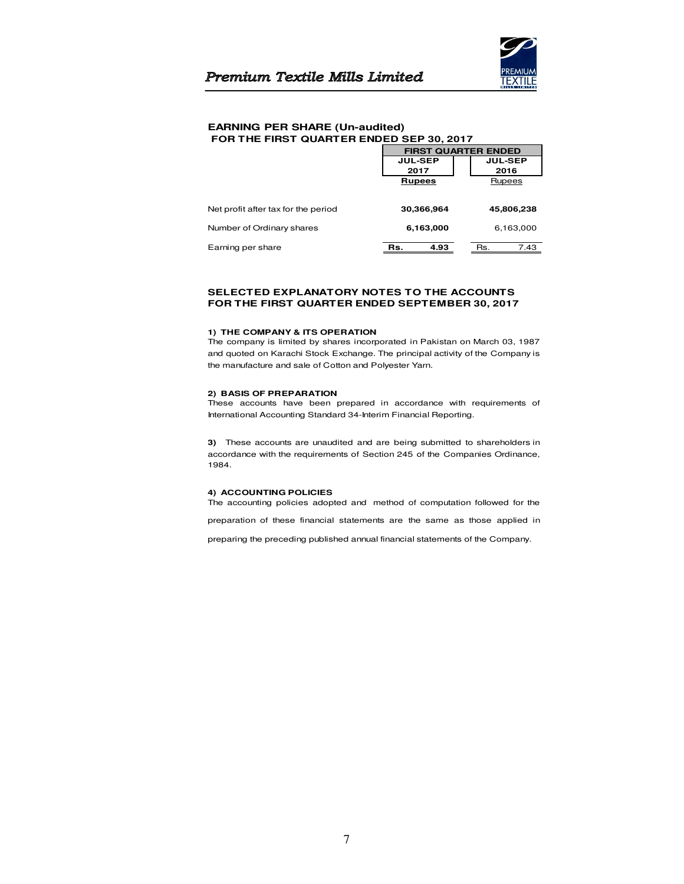

## **EARNING PER SHARE (Un-audited) FOR THE FIRST QUARTER ENDED SEP 30, 2017**

|                                     | <b>FIRST QUARTER ENDED</b> |                |
|-------------------------------------|----------------------------|----------------|
|                                     | <b>JUL-SEP</b>             | <b>JUL-SEP</b> |
|                                     | 2017                       | 2016           |
|                                     | <b>Rupees</b>              | Rupees         |
| Net profit after tax for the period | 30,366,964                 | 45,806,238     |
| Number of Ordinary shares           | 6,163,000                  | 6,163,000      |
| Earning per share                   | 4.93<br>Rs.                | Rs.<br>7.43    |

## **SELECTED EXPLANATORY NOTES TO THE ACCOUNTS FOR THE FIRST QUARTER ENDED SEPTEMBER 30, 2017**

## **1) THE COMPANY & ITS OPERATION**

The company is limited by shares incorporated in Pakistan on March 03, 1987 and quoted on Karachi Stock Exchange. The principal activity of the Company is the manufacture and sale of Cotton and Polyester Yarn.

## **2) BASIS OF PREPARATION**

These accounts have been prepared in accordance with requirements of International Accounting Standard 34-Interim Financial Reporting.

**3)** These accounts are unaudited and are being submitted to shareholders in accordance with the requirements of Section 245 of the Companies Ordinance, 1984.

## **4) ACCOUNTING POLICIES**

The accounting policies adopted and method of computation followed for the

preparation of these financial statements are the same as those applied in

preparing the preceding published annual financial statements of the Company.